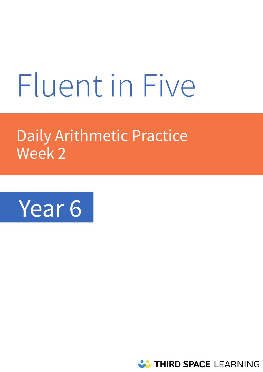# Fluent in Five

# Daily Arithmetic Practice Week 2



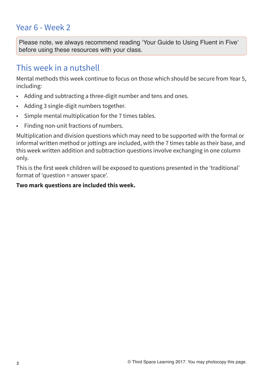# Year 6 - Week 2

**Please note, we always recommend reading 'Your Guide to Using Fluent in Five' before using these resources with your class.** 

# This week in a nutshell

Mental methods this week continue to focus on those which should be secure from Year 5, including:

- Adding and subtracting a three-digit number and tens and ones.
- Adding 3 single-digit numbers together.
- Simple mental multiplication for the 7 times tables.
- Finding non-unit fractions of numbers.

Multiplication and division questions which may need to be supported with the formal or informal written method or jottings are included, with the 7 times table as their base, and this week written addition and subtraction questions involve exchanging in one column only.

This is the first week children will be exposed to questions presented in the 'traditional' format of 'question = answer space'.

#### **Two mark questions are included this week.**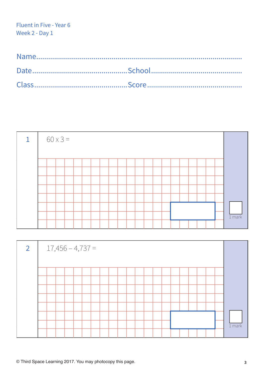|  | $60 \times 3 =$ |  |  |  |  |  |  |  |  |  |          |
|--|-----------------|--|--|--|--|--|--|--|--|--|----------|
|  |                 |  |  |  |  |  |  |  |  |  |          |
|  |                 |  |  |  |  |  |  |  |  |  |          |
|  |                 |  |  |  |  |  |  |  |  |  |          |
|  |                 |  |  |  |  |  |  |  |  |  |          |
|  |                 |  |  |  |  |  |  |  |  |  |          |
|  |                 |  |  |  |  |  |  |  |  |  |          |
|  |                 |  |  |  |  |  |  |  |  |  |          |
|  |                 |  |  |  |  |  |  |  |  |  | $1$ mark |
|  |                 |  |  |  |  |  |  |  |  |  |          |

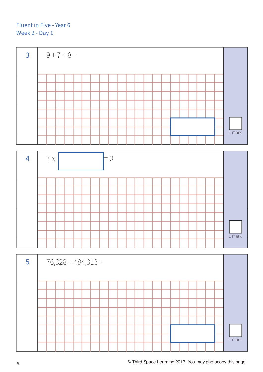

| $1$ mark |
|----------|

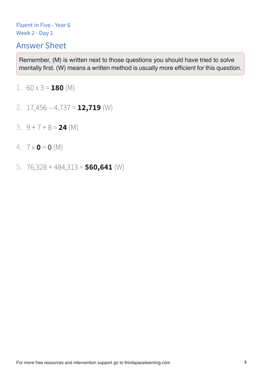# Answer Sheet

- 1.  $60 \times 3 = 180$  (M)
- 2. 17,456 4,737 = **12,719** (W)
- 3. 9 + 7 + 8 = **24** (M)
- 4.  $7 \times 0 = 0$  (M)
- 5. 76,328 + 484,313 = **560,641** (W)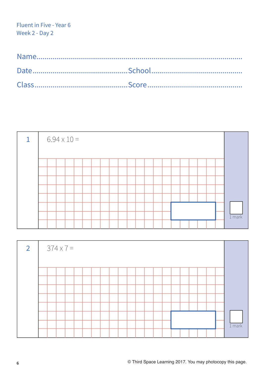|  |  | $6.94 \times 10 =$ |  |  |  |  |  |  |  |  |          |
|--|--|--------------------|--|--|--|--|--|--|--|--|----------|
|  |  |                    |  |  |  |  |  |  |  |  |          |
|  |  |                    |  |  |  |  |  |  |  |  |          |
|  |  |                    |  |  |  |  |  |  |  |  |          |
|  |  |                    |  |  |  |  |  |  |  |  |          |
|  |  |                    |  |  |  |  |  |  |  |  |          |
|  |  |                    |  |  |  |  |  |  |  |  |          |
|  |  |                    |  |  |  |  |  |  |  |  |          |
|  |  |                    |  |  |  |  |  |  |  |  | $1$ mark |
|  |  |                    |  |  |  |  |  |  |  |  |          |

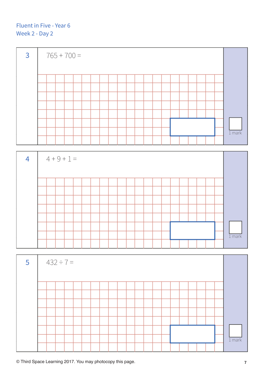



| $5\overline{5}$ |  | $432 \div 7 =$ |  |  |  |  |  |  |  |  |          |
|-----------------|--|----------------|--|--|--|--|--|--|--|--|----------|
|                 |  |                |  |  |  |  |  |  |  |  |          |
|                 |  |                |  |  |  |  |  |  |  |  |          |
|                 |  |                |  |  |  |  |  |  |  |  |          |
|                 |  |                |  |  |  |  |  |  |  |  |          |
|                 |  |                |  |  |  |  |  |  |  |  |          |
|                 |  |                |  |  |  |  |  |  |  |  |          |
|                 |  |                |  |  |  |  |  |  |  |  |          |
|                 |  |                |  |  |  |  |  |  |  |  | $1$ mark |
|                 |  |                |  |  |  |  |  |  |  |  |          |

**© Third Space Learning 2017. You may photocopy this page. 7**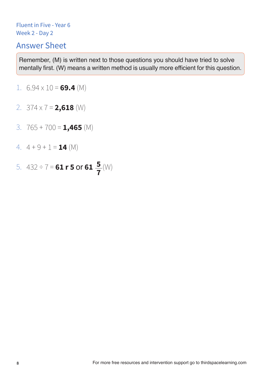# Answer Sheet

- 1.  $6.94 \times 10 = 69.4$  (M)
- 2. 374 x 7 = **2,618** (W)
- 3. 765 + 700 = **1,465** (M)
- 4.  $4 + 9 + 1 = 14$  (M)
- 5.  $432 \div 7 = 61 \text{ r } 5 \text{ or } 61 \frac{5}{7}$  (W) **7**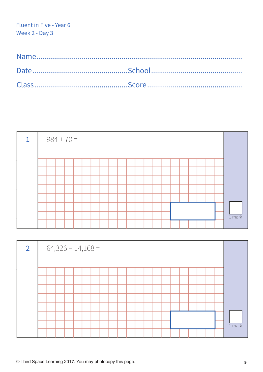|  | $984 + 70 =$ |  |  |  |  |  |  |  |  |  |          |
|--|--------------|--|--|--|--|--|--|--|--|--|----------|
|  |              |  |  |  |  |  |  |  |  |  |          |
|  |              |  |  |  |  |  |  |  |  |  |          |
|  |              |  |  |  |  |  |  |  |  |  |          |
|  |              |  |  |  |  |  |  |  |  |  |          |
|  |              |  |  |  |  |  |  |  |  |  |          |
|  |              |  |  |  |  |  |  |  |  |  |          |
|  |              |  |  |  |  |  |  |  |  |  |          |
|  |              |  |  |  |  |  |  |  |  |  | $1$ mark |
|  |              |  |  |  |  |  |  |  |  |  |          |

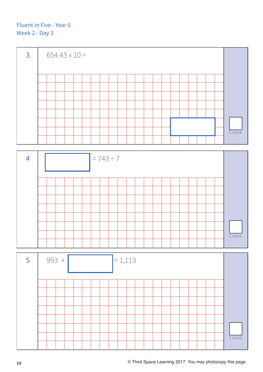





**10 © Third Space Learning 2017. You may photocopy this page.**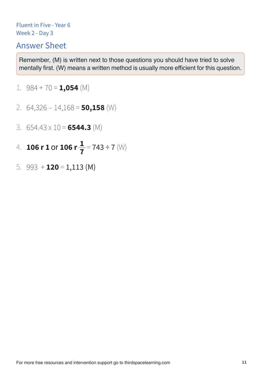# Answer Sheet

- 1. 984 + 70 = **1,054** (M)
- 2. 64,326 14,168 = **50,158** (W)
- 3. 654.43 x 10 = **6544.3** (M)
- 4. **106 r 1 or 106 r**  $\frac{1}{7}$  = 743 ÷ 7 (W) **1 7**
- 5. 993 + **120** = 1,113 (M)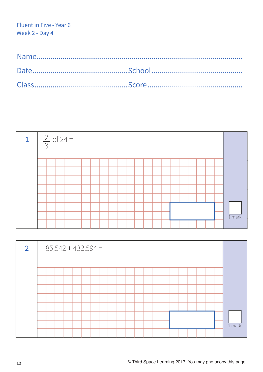| $\frac{2}{3}$ of 24 = |  |  |  |  |  |  |  |  |  |  |          |
|-----------------------|--|--|--|--|--|--|--|--|--|--|----------|
|                       |  |  |  |  |  |  |  |  |  |  |          |
|                       |  |  |  |  |  |  |  |  |  |  |          |
|                       |  |  |  |  |  |  |  |  |  |  |          |
|                       |  |  |  |  |  |  |  |  |  |  |          |
|                       |  |  |  |  |  |  |  |  |  |  |          |
|                       |  |  |  |  |  |  |  |  |  |  |          |
|                       |  |  |  |  |  |  |  |  |  |  | $1$ mark |
|                       |  |  |  |  |  |  |  |  |  |  |          |

| $\overline{2}$ |  | $85,542 + 432,594 =$ |  |  |  |  |  |  |  |  |          |
|----------------|--|----------------------|--|--|--|--|--|--|--|--|----------|
|                |  |                      |  |  |  |  |  |  |  |  |          |
|                |  |                      |  |  |  |  |  |  |  |  |          |
|                |  |                      |  |  |  |  |  |  |  |  |          |
|                |  |                      |  |  |  |  |  |  |  |  |          |
|                |  |                      |  |  |  |  |  |  |  |  |          |
|                |  |                      |  |  |  |  |  |  |  |  |          |
|                |  |                      |  |  |  |  |  |  |  |  |          |
|                |  |                      |  |  |  |  |  |  |  |  | $1$ mark |
|                |  |                      |  |  |  |  |  |  |  |  |          |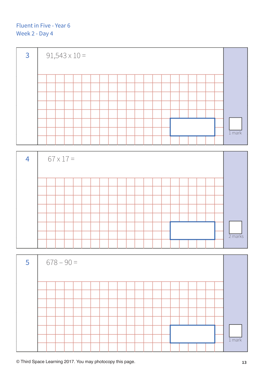



| $5\overline{5}$ | $678 - 90 =$ |  |  |  |  |  |  |  |  |  |          |
|-----------------|--------------|--|--|--|--|--|--|--|--|--|----------|
|                 |              |  |  |  |  |  |  |  |  |  |          |
|                 |              |  |  |  |  |  |  |  |  |  |          |
|                 |              |  |  |  |  |  |  |  |  |  |          |
|                 |              |  |  |  |  |  |  |  |  |  |          |
|                 |              |  |  |  |  |  |  |  |  |  |          |
|                 |              |  |  |  |  |  |  |  |  |  |          |
|                 |              |  |  |  |  |  |  |  |  |  |          |
|                 |              |  |  |  |  |  |  |  |  |  | $1$ mark |
|                 |              |  |  |  |  |  |  |  |  |  |          |

**© Third Space Learning 2017. You may photocopy this page. 13**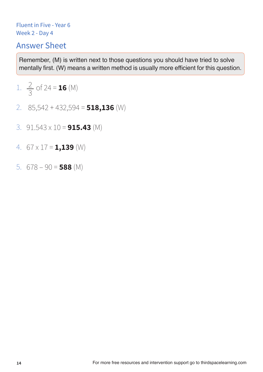# Answer Sheet

1. 
$$
\frac{2}{3}
$$
 of 24 = **16** (M)

- 2. 85,542 + 432,594 = **518,136** (W)
- 3. 91.543 x 10 = **915.43** (M)
- 4. 67 x 17 = **1,139** (W)
- 5. 678 90 = **588** (M)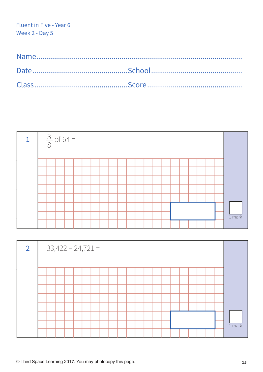| $\frac{3}{8}$ of 64 = |  |  |  |  |  |  |  |  |  |  |  |  |  |  |  |  |  |          |
|-----------------------|--|--|--|--|--|--|--|--|--|--|--|--|--|--|--|--|--|----------|
|                       |  |  |  |  |  |  |  |  |  |  |  |  |  |  |  |  |  |          |
|                       |  |  |  |  |  |  |  |  |  |  |  |  |  |  |  |  |  |          |
|                       |  |  |  |  |  |  |  |  |  |  |  |  |  |  |  |  |  |          |
|                       |  |  |  |  |  |  |  |  |  |  |  |  |  |  |  |  |  |          |
|                       |  |  |  |  |  |  |  |  |  |  |  |  |  |  |  |  |  |          |
|                       |  |  |  |  |  |  |  |  |  |  |  |  |  |  |  |  |  |          |
|                       |  |  |  |  |  |  |  |  |  |  |  |  |  |  |  |  |  | $1$ mark |
|                       |  |  |  |  |  |  |  |  |  |  |  |  |  |  |  |  |  |          |

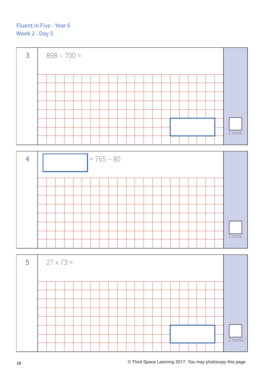

| 4 | $= 765 - 80$ |  |  |  |  |  |  |  |  |  |  |  |  |  |  |  |  |  |          |
|---|--------------|--|--|--|--|--|--|--|--|--|--|--|--|--|--|--|--|--|----------|
|   |              |  |  |  |  |  |  |  |  |  |  |  |  |  |  |  |  |  |          |
|   |              |  |  |  |  |  |  |  |  |  |  |  |  |  |  |  |  |  |          |
|   |              |  |  |  |  |  |  |  |  |  |  |  |  |  |  |  |  |  |          |
|   |              |  |  |  |  |  |  |  |  |  |  |  |  |  |  |  |  |  |          |
|   |              |  |  |  |  |  |  |  |  |  |  |  |  |  |  |  |  |  |          |
|   |              |  |  |  |  |  |  |  |  |  |  |  |  |  |  |  |  |  |          |
|   |              |  |  |  |  |  |  |  |  |  |  |  |  |  |  |  |  |  | $1$ mark |
|   |              |  |  |  |  |  |  |  |  |  |  |  |  |  |  |  |  |  |          |

| $-5$ | $27 \times 73 =$ |  |  |  |  |  |  |  |  |  |  |  |  |  |  |  |  |  |  |           |
|------|------------------|--|--|--|--|--|--|--|--|--|--|--|--|--|--|--|--|--|--|-----------|
|      |                  |  |  |  |  |  |  |  |  |  |  |  |  |  |  |  |  |  |  |           |
|      |                  |  |  |  |  |  |  |  |  |  |  |  |  |  |  |  |  |  |  |           |
|      |                  |  |  |  |  |  |  |  |  |  |  |  |  |  |  |  |  |  |  |           |
|      |                  |  |  |  |  |  |  |  |  |  |  |  |  |  |  |  |  |  |  |           |
|      |                  |  |  |  |  |  |  |  |  |  |  |  |  |  |  |  |  |  |  |           |
|      |                  |  |  |  |  |  |  |  |  |  |  |  |  |  |  |  |  |  |  |           |
|      |                  |  |  |  |  |  |  |  |  |  |  |  |  |  |  |  |  |  |  |           |
|      |                  |  |  |  |  |  |  |  |  |  |  |  |  |  |  |  |  |  |  | $2$ marks |
|      |                  |  |  |  |  |  |  |  |  |  |  |  |  |  |  |  |  |  |  |           |